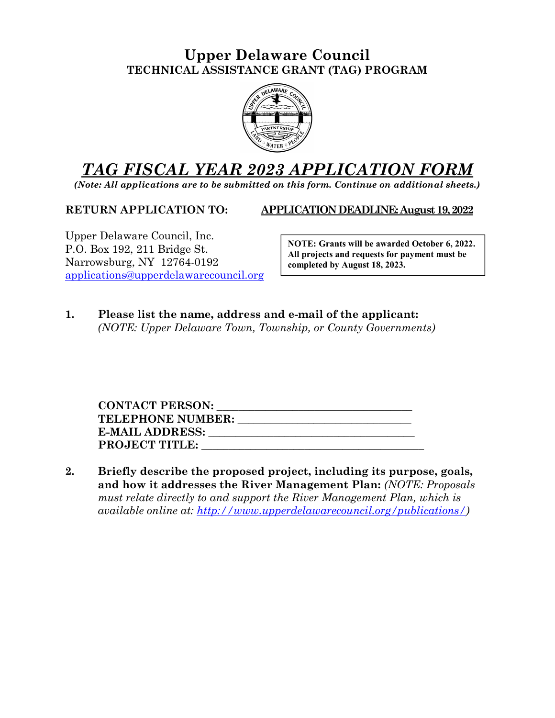## Upper Delaware Council TECHNICAL ASSISTANCE GRANT (TAG) PROGRAM



## TAG FISCAL YEAR 2023 APPLICATION FORM

(Note: All applications are to be submitted on this form. Continue on additional sheets.)

RETURN APPLICATION TO: APPLICATION DEADLINE: August 19, 2022

Upper Delaware Council, Inc. P.O. Box 192, 211 Bridge St. Narrowsburg, NY 12764-0192 applications@upperdelawarecouncil.org

NOTE: Grants will be awarded October 6, 2022. All projects and requests for payment must be completed by August 18, 2023.

1. Please list the name, address and e-mail of the applicant: (NOTE: Upper Delaware Town, Township, or County Governments)

| <b>CONTACT PERSON:</b>   |  |
|--------------------------|--|
| <b>TELEPHONE NUMBER:</b> |  |
| <b>E-MAIL ADDRESS:</b>   |  |
| <b>PROJECT TITLE:</b>    |  |

2. Briefly describe the proposed project, including its purpose, goals, and how it addresses the River Management Plan: (NOTE: Proposals must relate directly to and support the River Management Plan, which is available online at: http://www.upperdelawarecouncil.org/publications/)